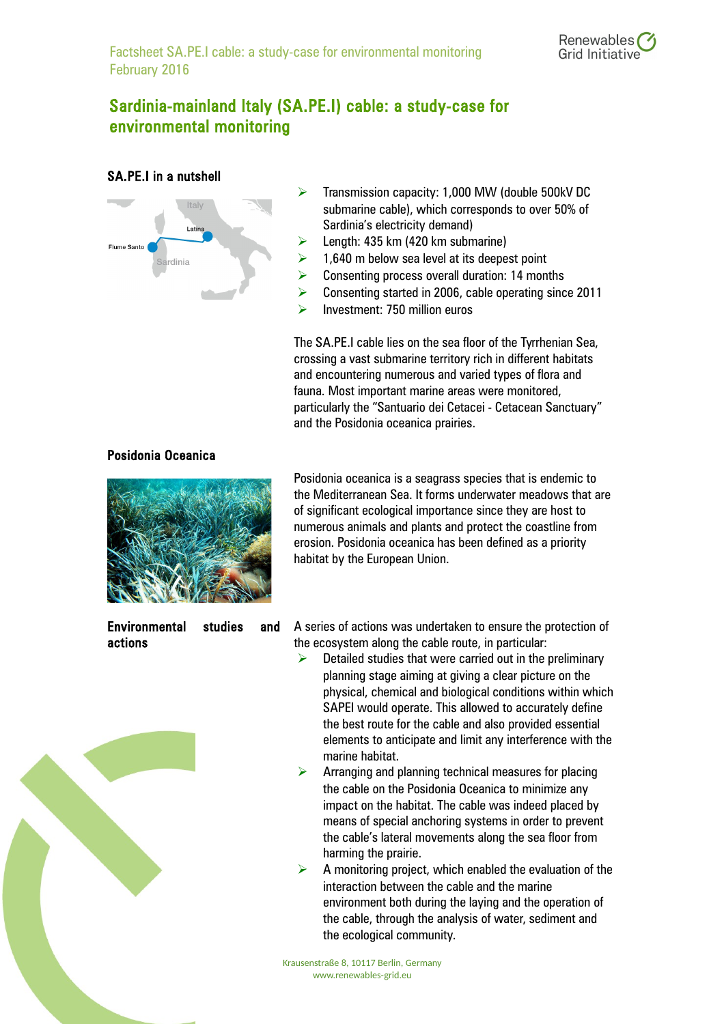## Sardinia-mainland Italy (SA.PE.I) cable: a study-case for environmental monitoring

## SA.PE.I in a nutshell



- $\triangleright$  Transmission capacity: 1,000 MW (double 500kV DC submarine cable), which corresponds to over 50% of Sardinia's electricity demand)
- $\triangleright$  Length: 435 km (420 km submarine)
- $\geq$  1,640 m below sea level at its deepest point
- $\triangleright$  Consenting process overall duration: 14 months
- ▶ Consenting started in 2006, cable operating since 2011
- $\triangleright$  Investment: 750 million euros

The SA.PE.I cable lies on the sea floor of the Tyrrhenian Sea, crossing a vast submarine territory rich in different habitats and encountering numerous and varied types of flora and fauna. Most important marine areas were monitored, particularly the "Santuario dei Cetacei - Cetacean Sanctuary" and the Posidonia oceanica prairies.

## Posidonia Oceanica



Posidonia oceanica is a seagrass species that is endemic to the Mediterranean Sea. It forms underwater meadows that are of significant ecological importance since they are host to numerous animals and plants and protect the coastline from erosion. Posidonia oceanica has been defined as a priority habitat by the European Union.

Environmental studies and actions

A series of actions was undertaken to ensure the protection of the ecosystem along the cable route, in particular:

- $\triangleright$  Detailed studies that were carried out in the preliminary planning stage aiming at giving a clear picture on the physical, chemical and biological conditions within which SAPEI would operate. This allowed to accurately define the best route for the cable and also provided essential elements to anticipate and limit any interference with the marine habitat.
- $\triangleright$  Arranging and planning technical measures for placing the cable on the Posidonia Oceanica to minimize any impact on the habitat. The cable was indeed placed by means of special anchoring systems in order to prevent the cable's lateral movements along the sea floor from harming the prairie.
- $\triangleright$  A monitoring project, which enabled the evaluation of the interaction between the cable and the marine environment both during the laying and the operation of the cable, through the analysis of water, sediment and the ecological community.